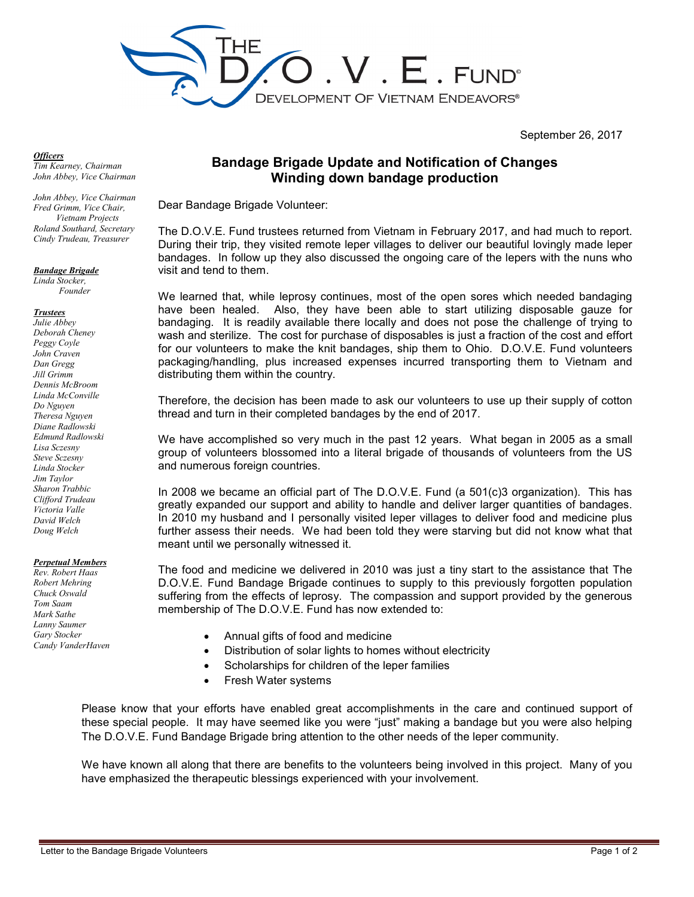

September 26, 2017

## *Officers*

*Tim Kearney, Chairman John Abbey, Vice Chairman* 

*John Abbey, Vice Chairman Fred Grimm, Vice Chair, Vietnam Projects Roland Southard, Secretary Cindy Trudeau, Treasurer* 

*Bandage Brigade Linda Stocker,* 

*Founder* 

## *Trustees*

*Julie Abbey Deborah Cheney Peggy Coyle John Craven Dan Gregg Jill Grimm Dennis McBroom Linda McConville Do Nguyen Theresa Nguyen Diane Radlowski Edmund Radlowski Lisa Sczesny Steve Sczesny Linda Stocker Jim Taylor Sharon Trabbic Clifford Trudeau Victoria Valle David Welch Doug Welch* 

## *Perpetual Members*

*Rev. Robert Haas Robert Mehring Chuck Oswald Tom Saam Mark Sathe Lanny Saumer Gary Stocker Candy VanderHaven*

## **Bandage Brigade Update and Notification of Changes Winding down bandage production**

Dear Bandage Brigade Volunteer:

The D.O.V.E. Fund trustees returned from Vietnam in February 2017, and had much to report. During their trip, they visited remote leper villages to deliver our beautiful lovingly made leper bandages. In follow up they also discussed the ongoing care of the lepers with the nuns who visit and tend to them.

We learned that, while leprosy continues, most of the open sores which needed bandaging have been healed. Also, they have been able to start utilizing disposable gauze for bandaging. It is readily available there locally and does not pose the challenge of trying to wash and sterilize. The cost for purchase of disposables is just a fraction of the cost and effort for our volunteers to make the knit bandages, ship them to Ohio. D.O.V.E. Fund volunteers packaging/handling, plus increased expenses incurred transporting them to Vietnam and distributing them within the country.

Therefore, the decision has been made to ask our volunteers to use up their supply of cotton thread and turn in their completed bandages by the end of 2017.

We have accomplished so very much in the past 12 years. What began in 2005 as a small group of volunteers blossomed into a literal brigade of thousands of volunteers from the US and numerous foreign countries.

In 2008 we became an official part of The D.O.V.E. Fund (a 501(c)3 organization). This has greatly expanded our support and ability to handle and deliver larger quantities of bandages. In 2010 my husband and I personally visited leper villages to deliver food and medicine plus further assess their needs. We had been told they were starving but did not know what that meant until we personally witnessed it.

The food and medicine we delivered in 2010 was just a tiny start to the assistance that The D.O.V.E. Fund Bandage Brigade continues to supply to this previously forgotten population suffering from the effects of leprosy. The compassion and support provided by the generous membership of The D.O.V.E. Fund has now extended to:

- Annual gifts of food and medicine
- Distribution of solar lights to homes without electricity
- Scholarships for children of the leper families
- Fresh Water systems

Please know that your efforts have enabled great accomplishments in the care and continued support of these special people. It may have seemed like you were "just" making a bandage but you were also helping The D.O.V.E. Fund Bandage Brigade bring attention to the other needs of the leper community.

We have known all along that there are benefits to the volunteers being involved in this project. Many of you have emphasized the therapeutic blessings experienced with your involvement.